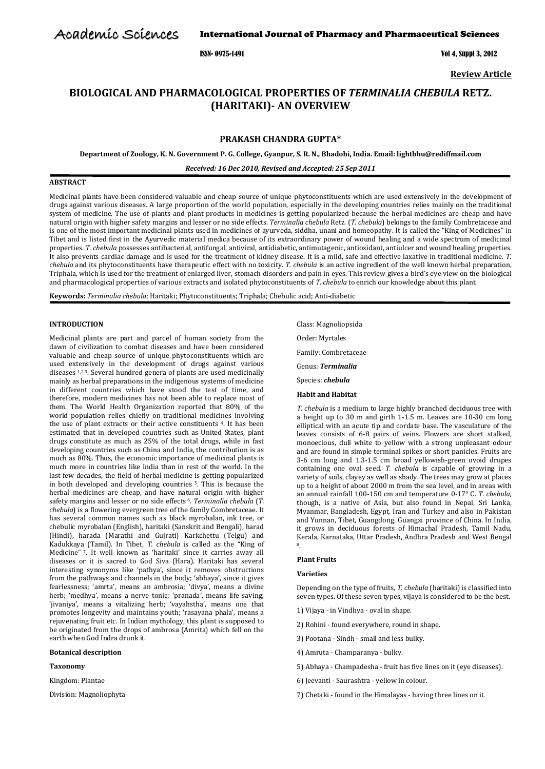Academic Sciences

# International Journal of Pharmacy and Pharmaceutical Sciences

ISSN- 0975-1491 Vol 4, Suppl 3, 2012

**Review Article**

# **BIOLOGICAL AND PHARMACOLOGICAL PROPERTIES OF** *TERMINALIA CHEBULA* **RETZ. (HARITAKI)- AN OVERVIEW**

# **PRAKASH CHANDRA GUPTA\***

**Department of Zoology, K. N. Government P. G. College, Gyanpur, S. R. N., Bhadohi, India. Email: [lightbhu@rediffmail.com](mailto:lightbhu@rediffmail.com)**

*Received: 16 Dec 2010, Revised and Accepted: 25 Sep 2011*

# **ABSTRACT**

Medicinal plants have been considered valuable and cheap source of unique phytoconstituents which are used extensively in the development of drugs against various diseases. A large proportion of the world population, especially in the developing countries relies mainly on the traditional system of medicine. The use of plants and plant products in medicines is getting popularized because the herbal medicines are cheap and have natural origin with higher safety margins and lesser or no side effects. *Terminalia chebula* Retz. (*T. chebula*) belongs to the family Combretaceae and is one of the most important medicinal plants used in medicines of ayurveda, siddha, unani and homeopathy. It is called the "King of Medicines" in Tibet and is listed first in the Ayurvedic material medica because of its extraordinary power of wound healing and a wide spectrum of medicinal properties. *T. chebula* possesses antibacterial, antifungal, antiviral, antidiabetic, antimutagenic, antioxidant, antiulcer and wound healing properties. It also prevents cardiac damage and is used for the treatment of kidney disease. It is a mild, safe and effective laxative in traditional medicine. *T. chebula* and its phytoconstituents have therapeutic effect with no toxicity. *T. chebula* is an active ingredient of the well known herbal preparation, Triphala, which is used for the treatment of enlarged liver, stomach disorders and pain in eyes. This review gives a bird's eye view on the biological and pharmacological properties of various extracts and isolated phytoconstituents of *T. chebula* to enrich our knowledge about this plant.

**Keywords:** *Terminalia chebula*; Haritaki; Phytoconstituents; Triphala; Chebulic acid; Anti-diabetic

## **INTRODUCTION**

Medicinal plants are part and parcel of human society from the dawn of civilization to combat diseases and have been considered valuable and cheap source of unique phytoconstituents which are used extensively in the development of drugs against various diseases 1,2,3. Several hundred genera of plants are used medicinally mainly as herbal preparations in the indigenous systems of medicine in different countries which have stood the test of time, and therefore, modern medicines has not been able to replace most of them. The World Health Organization reported that 80% of the world population relies chiefly on traditional medicines involving the use of plant extracts or their active constituents 4. It has been estimated that in developed countries such as United States, plant drugs constitute as much as 25% of the total drugs, while in fast developing countries such as China and India, the contribution is as much as 80%. Thus, the economic importance of medicinal plants is much more in countries like India than in rest of the world. In the last few decades, the field of herbal medicine is getting popularized in both developed and developing countries 5. This is because the herbal medicines are cheap, and have natural origin with higher safety margins and lesser or no side effects 6. *Terminalia chebula* (*T. chebula*) is a flowering evergreen tree of the family Combretaceae. It has several common names such as black myrobalan, ink tree, or chebulic myrobalan (English), haritaki (Sanskrit and Bengali), harad (Hindi), harada (Marathi and Gujrati) Karkchettu (Telgu) and Kadukkaya (Tamil). In Tibet, *T. chebula* is called as the "King of Medicine" <sup>7</sup> . It well known as 'haritaki' since it carries away all diseases or it is sacred to God Siva (Hara). Haritaki has several interesting synonyms like 'pathya', since it removes obstructions from the pathways and channels in the body; 'abhaya', since it gives fearlessness; 'amrta', means an ambrosia; 'divya', means a divine herb; 'medhya', means a nerve tonic; 'pranada', means life saving; 'jivaniya', means a vitalizing herb; 'vayahstha', means one that promotes longevity and maintains youth; 'rasayana phala', means a rejuvenating fruit etc. In Indian mythology, this plant is supposed to be originated from the drops of ambrosa (Amrita) which fell on the earth when God Indra drunk it.

# **Botanical description**

# **Taxonomy**

Kingdom: Plantae

Division: Magnoliophyta

Class: Magnoliopsida Order: Myrtales

Family: Combretaceae

Genus: *Terminalia*

- Species: *chebula*
- **Habit and Habitat**

*T. chebula* is a medium to large highly branched deciduous tree with a height up to 30 m and girth 1-1.5 m. Leaves are 10-30 cm long elliptical with an acute tip and cordate base. The vasculature of the leaves consists of 6-8 pairs of veins. Flowers are short stalked, monoecious, dull white to yellow with a strong unpleasant odour and are found in simple terminal spikes or short panicles. Fruits are 3-6 cm long and 1.3-1.5 cm broad yellowish-green ovoid drupes containing one oval seed. *T. chebula* is capable of growing in a variety of soils, clayey as well as shady. The trees may grow at places up to a height of about 2000 m from the sea level, and in areas with an annual rainfall 100-150 cm and temperature 0-17° C. *T. chebula,*  though, is a native of Asia, but also found in Nepal, Sri Lanka, Myanmar, Bangladesh, Egypt, Iran and Turkey and also in Pakistan and Yunnan, Tibet, Guangdong, Guangxi province of China. In India, it grows in deciduous forests of Himachal Pradesh, Tamil Nadu, Kerala, Karnataka, Uttar Pradesh, Andhra Pradesh and West Bengal 8 .

**Plant Fruits**

#### **Varieties**

Depending on the type of fruits, *T. chebula* (haritaki) is classified into seven types. Of these seven types, vijaya is considered to be the best.

- 1) Vijaya in Vindhya oval in shape.
- 2) Rohini found everywhere, round in shape.
- 3) Pootana Sindh small and less bulky.
- 4) Amruta Champaranya bulky.
- 5) Abhaya Champadesha fruit has five lines on it (eye diseases).
- 6) Jeevanti Saurashtra yellow in colour.
- 7) Chetaki found in the Himalayas having three lines on it.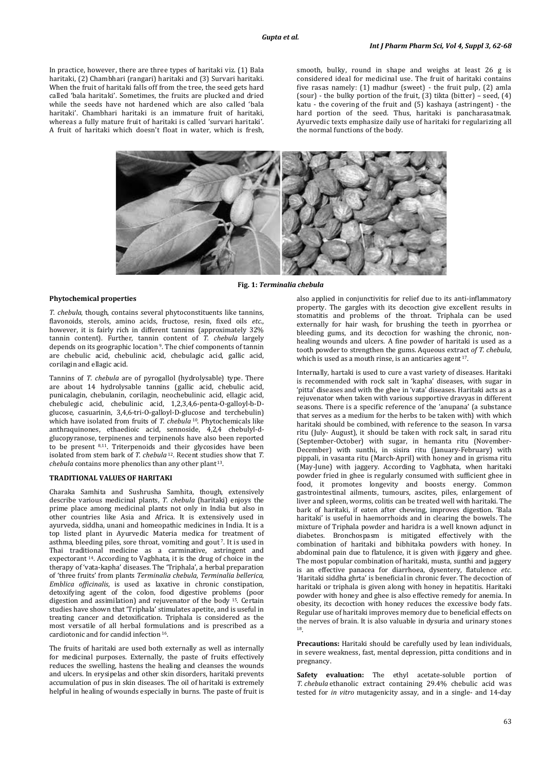In practice, however, there are three types of haritaki viz. (1) Bala haritaki, (2) Chambhari (rangari) haritaki and (3) Survari haritaki. When the fruit of haritaki falls off from the tree, the seed gets hard called 'bala haritaki'. Sometimes, the fruits are plucked and dried while the seeds have not hardened which are also called 'bala haritaki'. Chambhari haritaki is an immature fruit of haritaki, whereas a fully mature fruit of haritaki is called 'survari haritaki'. A fruit of haritaki which doesn't float in water, which is fresh, smooth, bulky, round in shape and weighs at least 26 g is considered ideal for medicinal use. The fruit of haritaki contains five rasas namely: (1) madhur (sweet) - the fruit pulp, (2) amla (sour) - the bulky portion of the fruit, (3) tikta (bitter) – seed, (4) katu - the covering of the fruit and (5) kashaya (astringent) - the hard portion of the seed. Thus, haritaki is pancharasatmak. Ayurvedic texts emphasize daily use of haritaki for regularizing all the normal functions of the body.



**Fig. 1:** *Terminalia chebula*

#### **Phytochemical properties**

*T. chebula*, though, contains several phytoconstituents like tannins, flavonoids, sterols, amino acids, fructose, resin, fixed oils *etc*., however, it is fairly rich in different tannins (approximately 32% tannin content). Further, tannin content of *T. chebula* largely depends on its geographic location<sup>9</sup>. The chief components of tannin are chebulic acid, chebulinic acid, chebulagic acid, gallic acid, corilagin and ellagic acid.

Tannins of *T. chebula* are of pyrogallol (hydrolysable) type. There are about 14 hydrolysable tannins (gallic acid, chebulic acid, punicalagin, chebulanin, corilagin, neochebulinic acid, ellagic acid, chebulegic acid, chebulinic acid, 1,2,3,4,6-penta-O-galloyl-b-Dglucose, casuarinin, 3,4,6-tri-O-galloyl-D-glucose and terchebulin) which have isolated from fruits of *T. chebula* <sup>10</sup>. Phytochemicals like anthraquinones, ethaedioic acid, sennoside, 4,2,4 chebulyl-dglucopyranose, terpinenes and terpinenols have also been reported to be present 8,11. Triterpenoids and their glycosides have been isolated from stem bark of *T. chebula* <sup>12</sup>*.* Recent studies show that *T. chebula* contains more phenolics than any other plant 13.

#### **TRADITIONAL VALUES OF HARITAKI**

Charaka Samhita and Sushrusha Samhita, though, extensively describe various medicinal plants, *T. chebula* (haritaki) enjoys the prime place among medicinal plants not only in India but also in other countries like Asia and Africa. It is extensively used in ayurveda, siddha, unani and homeopathic medicines in India. It is a top listed plant in Ayurvedic Materia medica for treatment of asthma, bleeding piles, sore throat, vomiting and gout<sup>7</sup>. It is used in Thai traditional medicine as a carminative, astringent and expectorant 14. According to Vagbhata, it is the drug of choice in the therapy of 'vata-kapha' diseases. The 'Triphala', a herbal preparation of 'three fruits' from plants *Terminalia chebula*, *Terminalia bellerica*, *Emblica officinalis*, is used as laxative in chronic constipation, detoxifying agent of the colon, food digestive problems (poor digestion and assimilation) and rejuvenator of the body 15. Certain studies have shown that 'Triphala' stimulates apetite, and is useful in treating cancer and detoxification. Triphala is considered as the most versatile of all herbal formulations and is prescribed as a  $cardi$  cardiotonic and for candid infection  $16$ .

The fruits of haritaki are used both externally as well as internally for medicinal purposes. Externally, the paste of fruits effectively reduces the swelling, hastens the healing and cleanses the wounds and ulcers. In erysipelas and other skin disorders, haritaki prevents accumulation of pus in skin diseases. The oil of haritaki is extremely helpful in healing of wounds especially in burns. The paste of fruit is also applied in conjunctivitis for relief due to its anti-inflammatory property. The gargles with its decoction give excellent results in stomatitis and problems of the throat. Triphala can be used externally for hair wash, for brushing the teeth in pyorrhea or bleeding gums, and its decoction for washing the chronic, nonhealing wounds and ulcers. A fine powder of haritaki is used as a tooth powder to strengthen the gums. Aqueous extract *of T. chebula*, which is used as a mouth rinse, is an anticaries agent 17.

Internally, hartaki is used to cure a vast variety of diseases. Haritaki is recommended with rock salt in 'kapha' diseases, with sugar in 'pitta' diseases and with the ghee in 'vata' diseases. Haritaki acts as a rejuvenator when taken with various supportive dravyas in different seasons. There is a specific reference of the 'anupana' (a substance that serves as a medium for the herbs to be taken with) with which haritaki should be combined, with reference to the season. In varsa ritu (July- August), it should be taken with rock salt, in sarad ritu (September-October) with sugar, in hemanta ritu (November-December) with sunthi, in sisira ritu (January-February) with pippali, in vasanta ritu (March-April) with honey and in grisma ritu (May-June) with jaggery. According to Vagbhata, when haritaki powder fried in ghee is regularly consumed with sufficient ghee in food, it promotes longevity and boosts energy. Common gastrointestinal ailments, tumours, ascites, piles, enlargement of liver and spleen, worms, colitis can be treated well with haritaki. The bark of haritaki, if eaten after chewing, improves digestion. 'Bala haritaki' is useful in haemorrhoids and in clearing the bowels. The mixture of Triphala powder and haridra is a well known adjunct in diabetes. Bronchospasm is mitigated effectively with the combination of haritaki and bibhitaka powders with honey. In abdominal pain due to flatulence, it is given with jiggery and ghee. The most popular combination of haritaki, musta, sunthi and jaggery is an effective panacea for diarrhoea, dysentery, flatulence *etc*. 'Haritaki siddha ghrta' is beneficial in chronic fever. The decoction of haritaki or triphala is given along with honey in hepatitis. Haritaki powder with honey and ghee is also effective remedy for anemia. In obesity, its decoction with honey reduces the excessive body fats. Regular use of haritaki improves memory due to beneficial effects on the nerves of brain. It is also valuable in dysuria and urinary stones 18 .

**Precautions:** Haritaki should be carefully used by lean individuals, in severe weakness, fast, mental depression, pitta conditions and in pregnancy.

**Safety evaluation:** The ethyl acetate-soluble portion of *T. chebula* ethanolic extract containing 29.4% chebulic acid was tested for *in vitro* mutagenicity assay, and in a single- and 14-day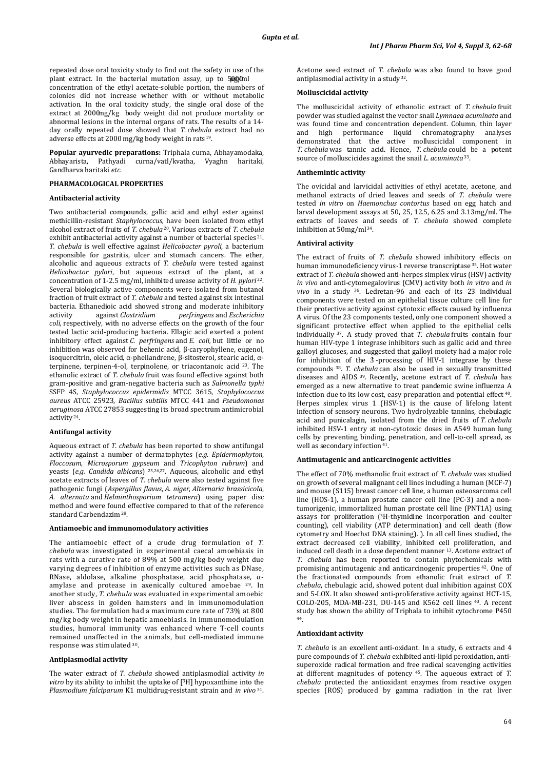repeated dose oral toxicity study to find out the safety in use of the plant extract. In the bacterial mutation assay, up to 50000ml concentration of the ethyl acetate-soluble portion, the numbers of colonies did not increase whether with or without metabolic activation. In the oral toxicity study, the single oral dose of the extract at 2000 mg/kg body weight did not produce mortality or abnormal lesions in the internal organs of rats. The results of a 14 day orally repeated dose showed that *T. chebula* extract had no adverse effects at 2000 mg/kg body weight in rats 19.

**Popular ayurvedic preparations:** Triphala curna, Abhayamodaka, Abhayarista, Pathyadi curna/vatl/kvatha, Vyaghn haritaki, Gandharva haritaki *etc*.

# **PHARMACOLOGICAL PROPERTIES**

## **Antibacterial activity**

Two antibacterial compounds, gallic acid and ethyl ester against methicillin-resistant *Staphylococcus,* have been isolated from ethyl alcohol extract of fruits of *T. chebula* 20. Various extracts of *T. chebula* exhibit antibacterial activity against a number of bacterial species<sup>21</sup>. *T. chebula* is well effective against *Helicobacter pyroli*, a bacterium responsible for gastritis, ulcer and stomach cancers. The ether, alcoholic and aqueous extracts of *T. chebula* were tested against *Helicobactor pylori*, but aqueous extract of the plant, at a concentration of 1-2.5 mg/ml, inhibited urease activity of *H*. *pylori* 22. Several biologically active components were isolated from butanol fraction of fruit extract of *T. chebula* and tested against six intestinal bacteria. Ethanedioic acid showed strong and moderate inhibitory<br>activity against *Clostridium perfringens* and *Escherichia* activity against *Clostridium perfringens* and *Escherichia coli,* respectively, with no adverse effects on the growth of the four tested lactic acid-producing bacteria. Ellagic acid exerted a potent inhibitory effect against *C. perfringens* and *E. coli,* but little or no inhibition was observed for behenic acid, β-caryophyllene, eugenol, isoquercitrin, oleic acid, α-phellandrene, β-sitosterol, stearic acid, αterpinene, terpinen-4-ol, terpinolene, or triacontanoic acid 23. The ethanolic extract of *T. chebula* fruit was found effective against both gram-positive and gram-negative bacteria such as *Salmonella typhi*  SSFP 4S, *Staphylococcus epidermidis* MTCC 3615, *Staphylococcus aureus* ATCC 25923, *Bacillus subtilis* MTCC 441 and *Pseudomonas aeruginosa* ATCC 27853 suggesting its broad spectrum antimicrobial activity 24.

#### **Antifungal activity**

Aqueous extract of *T. chebula* has been reported to show antifungal activity against a number of dermatophytes (*e.g. Epidermophyton*, *Floccosum*, *Microsporum gypseum* and *Tricophyton rubrum*) and yeasts (*e.g. Candida albicans*) 25,26,27. Aqueous, alcoholic and ethyl acetate extracts of leaves of *T. chebula* were also tested against five pathogenic fungi (*Aspergillus flavus*, *A. niger*, *Alternaria brassicicola*, *A. alternata* and *Helminthosporium tetramera*) using paper disc method and were found effective compared to that of the reference standard Carbendazim<sup>28</sup>.

#### **Antiamoebic and immunomodulatory activities**

The antiamoebic effect of a crude drug formulation of *T. chebula* was investigated in experimental caecal amoebiasis in rats with a curative rate of 89% at 500 mg/kg body weight due varying degrees of inhibition of enzyme activities such as DNase, RNase, aldolase, alkaline phosphatase, acid phosphatase, αamylase and protease in axenically cultured amoebae 29. In another study, *T. chebula* was evaluated in experimental amoebic liver abscess in golden hamsters and in immunomodulation studies. The formulation had a maximum cure rate of 73% at 800 mg/kg body weight in hepatic amoebiasis. In immunomodulation studies, humoral immunity was enhanced where T-cell counts remained unaffected in the animals, but cell-mediated immune response was stimulated <sup>30</sup> .

## **Antiplasmodial activity**

The water extract of *T. chebula* showed antiplasmodial activity *in vitro* by its ability to inhibit the uptake of [ 3H] hypoxanthine into the *Plasmodium falciparum* K1 multidrug-resistant strain and *in vivo* 31. Acetone seed extract of *T. chebula* was also found to have good antiplasmodial activity in a study 32.

# **Molluscicidal activity**

The molluscicidal activity of ethanolic extract of *T. chebula* fruit powder was studied against the vector snail *Lymnaea acuminata* and was found time and concentration dependent. Column, thin layer<br>and high performance liquid chromatography analyses and high performance liquid chromatography demonstrated that the active molluscicidal component in *T. chebula* was tannic acid. Hence, *T. chebula* could be a potent source of molluscicides against the snail *L. acuminata* 33.

#### **Anthemintic activity**

The ovicidal and larvicidal activities of ethyl acetate, acetone, and methanol extracts of dried leaves and seeds of *T. chebula* were tested *in vitro* on *Haemonchus contortus* based on egg hatch and larval development assays at 50, 25, 12.5, 6.25 and 3.13mg/ml. The extracts of leaves and seeds of *T. chebula* showed complete inhibition at 50mg/ml 34.

#### **Antiviral activity**

The extract of fruits of *T. chebula* showed inhibitory effects on human immunodeficiency virus-1 reverse transcriptase 35. Hot water extract of *T. chebula* showed anti-herpes simplex virus (HSV) activity *in vivo* and anti-cytomegalovirus (CMV) activity both *in vitro* and *in vivo* in a study 36. Ledretan-96 and each of its 23 individual components were tested on an epithelial tissue culture cell line for their protective activity against cytotoxic effects caused by influenza A virus. Of the 23 components tested, only one component showed a significant protective effect when applied to the epithelial cells individually 37. A study proved that *T. chebula* fruits contain four human HIV-type 1 integrase inhibitors such as gallic acid and three galloyl glucoses, and suggested that galloyl moiety had a major role for inhibition of the 3′ -processing of HIV-1 integrase by these compounds 38. *T. chebula* can also be used in sexually transmitted diseases and AIDS 39. Recently, acetone extract of *T. chebula* has emerged as a new alternative to treat pandemic swine influenza A infection due to its low cost, easy preparation and potential effect 40. Herpes simplex virus 1 (HSV-1) is the cause of lifelong latent infection of sensory neurons. Two hydrolyzable tannins, chebulagic acid and punicalagin, isolated from the dried fruits of *T. chebula* inhibited HSV-1 entry at non-cytotoxic doses in A549 human lung cells by preventing binding, penetration, and cell-to-cell spread, as well as secondary infection<sup>41</sup>.

#### **Antimutagenic and anticarcinogenic activities**

The effect of 70% methanolic fruit extract of *T. chebula* was studied on growth of several malignant cell lines including a human (MCF-7) and mouse (S115) breast cancer cell line, a human osteosarcoma cell line (HOS-1), a human prostate cancer cell line (PC-3) and a nontumorigenic, immortalized human prostate cell line (PNT1A) using assays for proliferation (3H-thymidine incorporation and coulter counting), cell viability (ATP determination) and cell death (flow cytometry and Hoechst DNA staining). ). In all cell lines studied, the extract decreased cell viability, inhibited cell proliferation, and induced cell death in a dose dependent manner 13. Acetone extract of *T. chebula* has been reported to contain phytochemicals with promising antimutagenic and anticarcinogenic properties 42. One of the fractionated compounds from ethanolic fruit extract of *T. chebula*, chebulagic acid, showed potent dual inhibition against COX and 5-LOX. It also showed anti-proliferative activity against HCT-15, COLO-205, MDA-MB-231, DU-145 and K562 cell lines 43. A recent study has shown the ability of Triphala to inhibit cytochrome P450 44 .

## **Antioxidant activity**

*T. chebula* is an excellent anti-oxidant. In a study, 6 extracts and 4 pure compounds of *T. chebula* exhibited anti-lipid peroxidation, antisuperoxide radical formation and free radical scavenging activities at different magnitudes of potency 45. The aqueous extract of *T. chebula* protected the antioxidant enzymes from reactive oxygen species (ROS) produced by gamma radiation in the rat liver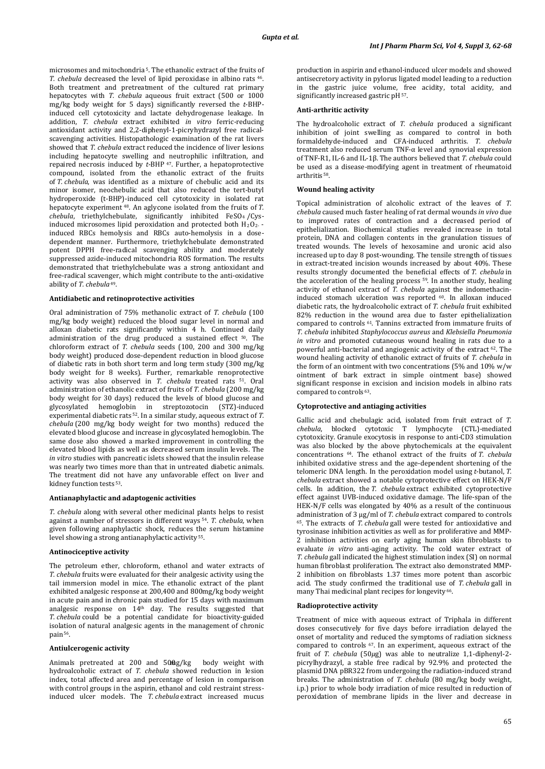microsomes and mitochondria 5. The ethanolic extract of the fruits of *T. chebula* decreased the level of lipid peroxidase in albino rats 46. Both treatment and pretreatment of the cultured rat primary hepatocytes with *T. chebula* aqueous fruit extract (500 or 1000 mg/kg body weight for 5 days) significantly reversed the *t*-BHPinduced cell cytotoxicity and lactate dehydrogenase leakage. In addition, *T. chebula* extract exhibited *in vitro* ferric-reducing antioxidant activity and 2,2-diphenyl-1-picryhydrazyl free radicalscavenging activities. Histopathologic examination of the rat livers showed that *T. chebula* extract reduced the incidence of liver lesions including hepatocyte swelling and neutrophilic infiltration, and repaired necrosis induced by *t*-BHP 47. Further, a hepatoprotective compound, isolated from the ethanolic extract of the fruits of *T. chebula*, was identified as a mixture of chebulic acid and its minor isomer, neochebulic acid that also reduced the tert-butyl hydroperoxide (t-BHP)-induced cell cytotoxicity in isolated rat hepatocyte experiment 48. An aglycone isolated from the fruits of *T. chebula*, triethylchebulate, significantly inhibited FeSO4 /Cysinduced microsomes lipid peroxidation and protected both  $H_2O_2$  induced RBCs hemolysis and RBCs auto-hemolysis in a dosedependent manner. Furthermore, triethylchebulate demonstrated potent DPPH free-radical scavenging ability and moderately suppressed azide-induced mitochondria ROS formation. The results demonstrated that triethylchebulate was a strong antioxidant and free-radical scavenger, which might contribute to the anti-oxidative ability of *T. chebula* 49.

#### **Antidiabetic and retinoprotective activities**

Oral administration of 75% methanolic extract of *T. chebula* (100 mg/kg body weight) reduced the blood sugar level in normal and alloxan diabetic rats significantly within 4 h. Continued daily administration of the drug produced a sustained effect 50. The chloroform extract of *T. chebula* seeds (100, 200 and 300 mg/kg body weight) produced dose-dependent reduction in blood glucose of diabetic rats in both short term and long term study (300 mg/kg body weight for 8 weeks). Further, remarkable renoprotective activity was also observed in *T. chebula* treated rats 51. Oral administration of ethanolic extract of fruits of *T. chebula* (200 mg/kg body weight for 30 days) reduced the levels of blood glucose and glycosylated hemoglobin in streptozotocin (STZ)-induced experimental diabetic rats 52. In a similar study, aqueous extract of *T. chebula* (200 mg/kg body weight for two months) reduced the elevated blood glucose and increase in glycosylated hemoglobin. The same dose also showed a marked improvement in controlling the elevated blood lipids as well as decreased serum insulin levels. The *in vitro* studies with pancreatic islets showed that the insulin release was nearly two times more than that in untreated diabetic animals. The treatment did not have any unfavorable effect on liver and kidney function tests 53.

#### **Antianaphylactic and adaptogenic activities**

*T. chebula* along with several other medicinal plants helps to resist against a number of stressors in different ways 54. *T. chebula,* when given following anaphylactic shock, reduces the serum histamine level showing a strong antianaphylactic activity 55.

# **Antinociceptive activity**

The petroleum ether, chloroform, ethanol and water extracts of *T. chebula* fruits were evaluated for their analgesic activity using the tail immersion model in mice. The ethanolic extract of the plant exhibited analgesic response at 200,400 and 800mg/kg body weight in acute pain and in chronic pain studied for 15 days with maximum analgesic response on 14th day. The results suggested that *T. chebula* could be a potential candidate for bioactivity-guided isolation of natural analgesic agents in the management of chronic pain<sup>56</sup>.

# **Antiulcerogenic activity**

Animals pretreated at 200 and 500g/kg body weight with hydroalcoholic extract of *T. chebula* showed reduction in lesion index, total affected area and percentage of lesion in comparison with control groups in the aspirin, ethanol and cold restraint stressinduced ulcer models. The *T. chebula* extract increased mucus production in aspirin and ethanol-induced ulcer models and showed antisecretory activity in pylorus ligated model leading to a reduction in the gastric juice volume, free acidity, total acidity, and significantly increased gastric pH  $^{\rm 57}.$ 

# **Anti-arthritic activity**

The hydroalcoholic extract of *T. chebula* produced a significant inhibition of joint swelling as compared to control in both formaldehyde-induced and CFA-induced arthritis. *T. chebula* treatment also reduced serum TNF-α level and synovial expression of TNF-R1, IL-6 and IL-1β. The authors believed that *T. chebula* could be used as a disease-modifying agent in treatment of rheumatoid arthritis 58.

#### **Wound healing activity**

Topical administration of alcoholic extract of the leaves of *T. chebula* caused much faster healing of rat dermal wounds *in vivo* due to improved rates of contraction and a decreased period of epithelialization. Biochemical studies revealed increase in total protein, DNA and collagen contents in the granulation tissues of treated wounds. The levels of hexosamine and uronic acid also increased up to day 8 post-wounding. The tensile strength of tissues in extract-treated incision wounds increased by about 40%. These results strongly documented the beneficial effects of *T. chebula* in the acceleration of the healing process <sup>59</sup>. In another study, healing activity of ethanol extract of *T. chebula* against the indomethacininduced stomach ulceration was reported 60. In alloxan induced diabetic rats, the hydroalcoholic extract of *T. chebula* fruit exhibited 82% reduction in the wound area due to faster epithelialization compared to controls 61. Tannins extracted from immature fruits of *T. chebula* inhibited *Staphylococcus aureus* and *Klebsiella Pneumonia in vitro* and promoted cutaneous wound healing in rats due to a powerful anti-bacterial and angiogenic activity of the extract 62. The wound healing activity of ethanolic extract of fruits of *T. chebula* in the form of an ointment with two concentrations (5% and 10% w/w ointment of bark extract in simple ointment base) showed significant response in excision and incision models in albino rats compared to controls 63.

#### **Cytoprotective and antiaging activities**

Gallic acid and chebulagic acid, isolated from fruit extract of *T. chebula*, blocked cytotoxic T lymphocyte (CTL)-mediated cytotoxicity. Granule exocytosis in response to anti-CD3 stimulation was also blocked by the above phytochemicals at the equivalent concentrations 64. The ethanol extract of the fruits of *T. chebula* inhibited oxidative stress and the age-dependent shortening of the telomeric DNA length. In the peroxidation model using *t*-butanol, *T. chebula* extract showed a notable cytoprotective effect on HEK-N/F cells. In addition, the *T. chebula* extract exhibited cytoprotective effect against UVB-induced oxidative damage. The life-span of the HEK-N/F cells was elongated by 40% as a result of the continuous administration of 3 µg/ml of *T. chebula* extract compared to controls 65. The extracts of *T. chebula* gall were tested for antioxidative and tyrosinase inhibition activities as well as for proliferative and MMP-2 inhibition activities on early aging human skin fibroblasts to evaluate *in vitro* anti-aging activity. The cold water extract of *T. chebula* gall indicated the highest stimulation index (SI) on normal human fibroblast proliferation. The extract also demonstrated MMP-2 inhibition on fibroblasts 1.37 times more potent than ascorbic acid. The study confirmed the traditional use of *T. chebula* gall in many Thai medicinal plant recipes for longevity <sup>66</sup> .

## **Radioprotective activity**

Treatment of mice with aqueous extract of Triphala in different doses consecutively for five days before irradiation delayed the onset of mortality and reduced the symptoms of radiation sickness compared to controls 67. In an experiment, aqueous extract of the fruit of *T. chebula* (50*μ*g) was able to neutralize 1,1-diphenyl-2 picrylhydrazyl, a stable free radical by 92.9% and protected the plasmid DNA pBR322 from undergoing the radiation-induced strand breaks. The administration of *T. chebula* (80 mg/kg body weight, i.p.) prior to whole body irradiation of mice resulted in reduction of peroxidation of membrane lipids in the liver and decrease in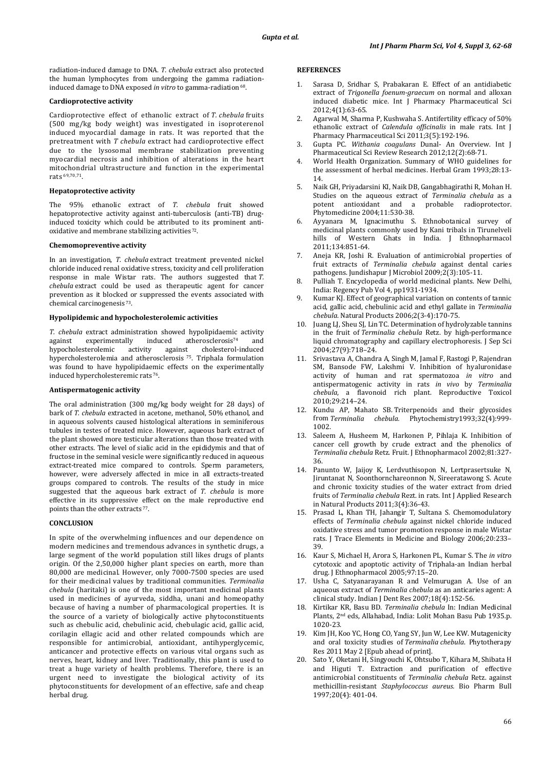radiation-induced damage to DNA. *T. chebula* extract also protected the human lymphocytes from undergoing the gamma radiationinduced damage to DNA exposed *in vitro* to gamma-radiation<sup>68</sup>.

#### **Cardioprotective activity**

Cardioprotective effect of ethanolic extract of *T. chebula* fruits (500 mg/kg body weight) was investigated in isoproterenol induced myocardial damage in rats. It was reported that the pretreatment with *T chebula* extract had cardioprotective effect due to the lysosomal membrane stabilization preventing myocardial necrosis and inhibition of alterations in the heart mitochondrial ultrastructure and function in the experimental rats 69,70,71.

## **Hepatoprotective activity**

The 95% ethanolic extract of *T. chebula* fruit showed hepatoprotective activity against anti-tuberculosis (anti-TB) druginduced toxicity which could be attributed to its prominent antioxidative and membrane stabilizing activities 72.

## **Chemomopreventive activity**

In an investigation, *T. chebula* extract treatment prevented nickel chloride induced renal oxidative stress, toxicity and cell proliferation response in male Wistar rats. The authors suggested that *T. chebula* extract could be used as therapeutic agent for cancer prevention as it blocked or suppressed the events associated with chemical carcinogenesis 73.

# **Hypolipidemic and hypocholesterolemic activities**

*T. chebula* extract administration showed hypolipidaemic activity against experimentally induced atherosclerosis<sup>74</sup> and against experimentally induced atherosclerosis<sup>74</sup> and hypocholesterolemic activity against cholesterol-induced hypocholesterolemic activity against cholesterol-induced hypercholesterolemia and atherosclerosis 75. Triphala formulation was found to have hypolipidaemic effects on the experimentally induced hypercholesteremic rats 76.

#### **Antispermatogenic activity**

The oral administration (300 mg/kg body weight for 28 days) of bark of *T. chebula* extracted in acetone, methanol, 50% ethanol, and in aqueous solvents caused histological alterations in seminiferous tubules in testes of treated mice. However, aqueous bark extract of the plant showed more testicular alterations than those treated with other extracts. The level of sialic acid in the epididymis and that of fructose in the seminal vesicle were significantly reduced in aqueous extract-treated mice compared to controls. Sperm parameters, however, were adversely affected in mice in all extracts-treated groups compared to controls. The results of the study in mice suggested that the aqueous bark extract of *T. chebula* is more effective in its suppressive effect on the male reproductive end points than the other extracts <sup>77</sup> .

# **CONCLUSION**

In spite of the overwhelming influences and our dependence on modern medicines and tremendous advances in synthetic drugs, a large segment of the world population still likes drugs of plants origin. Of the 2,50,000 higher plant species on earth, more than 80,000 are medicinal. However, only 7000-7500 species are used for their medicinal values by traditional communities. *Terminalia chebula* (haritaki) is one of the most important medicinal plants used in medicines of ayurveda, siddha, unani and homeopathy because of having a number of pharmacological properties. It is the source of a variety of biologically active phytoconstituents such as chebulic acid, chebulinic acid, chebulagic acid, gallic acid, corilagin ellagic acid and other related compounds which are responsible for antimicrobial, antioxidant, antihyperglycemic, anticancer and protective effects on various vital organs such as nerves, heart, kidney and liver. Traditionally, this plant is used to treat a huge variety of health problems. Therefore, there is an urgent need to investigate the biological activity of its phytoconstituents for development of an effective, safe and cheap herbal drug.

#### **REFERENCES**

- Sarasa D, Sridhar S, Prabakaran E. Effect of an antidiabetic extract of *Trigonella foenum-graecum* on normal and alloxan induced diabetic mice. Int J Pharmacy Pharmaceutical Sci 2012;4(1):63-65.
- 2. Agarwal M, Sharma P, Kushwaha S. Antifertility efficacy of 50% ethanolic extract of *Calendula officinalis* in male rats. Int J Pharmacy Pharmaceutical Sci 2011;3(5):192-196.
- 3. Gupta PC. *Withania coagulans* Dunal- An Overview. Int J Pharmaceutical Sci Review Research 2012;12(2):68-71.
- 4. World Health Organization. Summary of WHO guidelines for the assessment of herbal medicines. Herbal Gram 1993;28:13- 14.
- 5. Naik GH, Priyadarsini KI, Naik DB, Gangabhagirathi R, Mohan H. Studies on the aqueous extract of *Terminalia chebula* as a potent antioxidant and a Phytomedicine 2004;11:530-38.
- 6. Ayyanara M, Ignacimuthu S. Ethnobotanical survey of medicinal plants commonly used by Kani tribals in Tirunelveli hills of Western Ghats in India. J Ethnopharmacol 2011;134:851-64.
- 7. Aneja KR, Joshi R. Evaluation of antimicrobial properties of fruit extracts of *Terminalia chebula* against dental caries pathogens. Jundishapur J Microbiol 2009;2(3):105-11.
- 8. Pulliah T. Encyclopedia of world medicinal plants. New Delhi, India: Regency Pub Vol 4, pp1931-1934.
- 9. Kumar KJ. Effect of geographical variation on contents of tannic acid, gallic acid, chebulinic acid and ethyl gallate in *Terminalia chebula*. Natural Products 2006;2(3-4):170-75.
- 10. Juang LJ, Sheu SJ, Lin TC. Determination of hydrolyzable tannins in the fruit of *Terminalia chebula* Retz. by high-performance liquid chromatography and capillary electrophoresis. J Sep Sci 2004;27(9):718–24.
- 11. Srivastava A, Chandra A, Singh M, Jamal F, Rastogi P, Rajendran SM, Bansode FW, Lakshmi V. Inhibition of hyaluronidase activity of human and rat spermatozoa *in vitro* and antispermatogenic activity in rats *in vivo* by *Terminalia chebula*, a flavonoid rich plant. Reproductive Toxicol 2010;29:214–24.
- 12. Kundu AP, Mahato SB. Triterpenoids and their glycosides from *Terminalia chebula.* Phytochemistry1993;32(4):999- 1002.
- Saleem A, Husheem M, Harkonen P, Pihlaja K. Inhibition of cancer cell growth by crude extract and the phenolics of *Terminalia chebula* Retz. Fruit. J Ethnopharmacol 2002;81:327- 36.
- 14. Panunto W, Jaijoy K, Lerdvuthisopon N, Lertprasertsuke N, Jiruntanat N, Soonthornchareonnon N, Sireeratawong S. Acute and chronic toxicity studies of the water extract from dried fruits of *Terminalia chebula* Rezt. in rats. Int J Applied Research in Natural Products 2011;3(4):36-43.
- 15. Prasad L, Khan TH, Jahangir T, Sultana S. Chemomodulatory effects of *Terminalia chebula* against nickel chloride induced oxidative stress and tumor promotion response in male Wistar rats. J Trace Elements in Medicine and Biology 2006;20:233– 39.
- 16. Kaur S, Michael H, Arora S, Harkonen PL, Kumar S. The *in vitro*  cytotoxic and apoptotic activity of Triphala-an Indian herbal drug. J Ethnopharmacol 2005;97:15–20.
- 17. Usha C, Satyanarayanan R and Velmurugan A. Use of an aqueous extract of *Terminalia chebula* as an anticaries agent: A clinical study. Indian J Dent Res 2007;18(4):152-56.
- 18. Kirtikar KR, Basu BD. *Terminalia chebula* In: Indian Medicinal Plants, 2<sup>nd</sup> eds, Allahabad, India: Lolit Mohan Basu Pub 1935.p. 1020-23.
- 19. Kim JH, Koo YC, Hong CO, Yang SY, Jun W, Lee KW. Mutagenicity and oral toxicity studies of *Terminalia chebula*. Phytotherapy Res 2011 May 2 [Epub ahead of print].
- 20. Sato Y, Oketani H, Singyouchi K, Ohtsubo T, Kihara M, Shibata H and Higuti T. Extraction and purification of effective antimicrobial constituents of *Terminalia chebula* Retz. against methicillin-resistant *Staphylococcus aureus.* Bio Pharm Bull 1997;20(4): 401-04.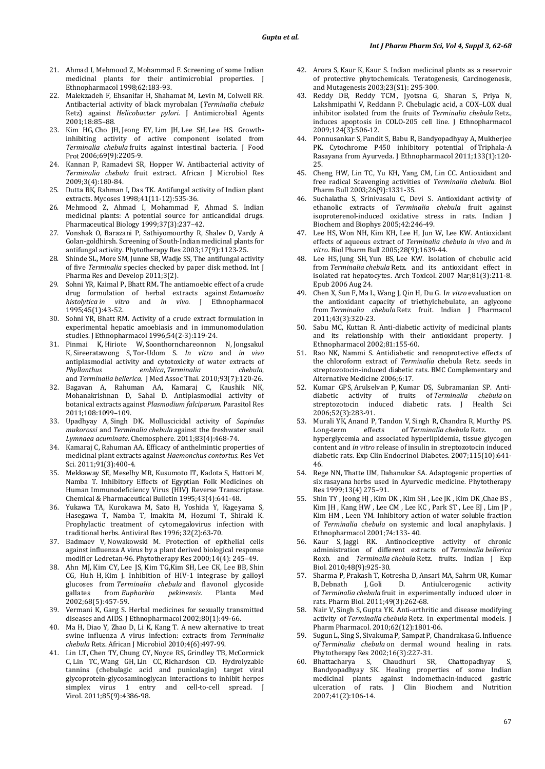- 21. Ahmad I, Mehmood Z, Mohammad F. Screening of some Indian medicinal plants for their antimicrobial properties. J Ethnopharmacol 1998;62:183-93.
- 22. Malekzadeh F, Ehsanifar H, Shahamat M, Levin M, Colwell RR. Antibacterial activity of black myrobalan (*Terminalia chebula*  Retz) against *Helicobacter pylori.* J Antimicrobial Agents 2001;18:85–88.
- 23. Kim HG, Cho JH, Jeong EY, Lim JH, Lee SH, Lee HS. Growthinhibiting activity of active component isolated from *Terminalia chebula* fruits against intestinal bacteria. J Food Prot 2006;69(9):2205-9.
- 24. Kannan P, Ramadevi SR, Hopper W. Antibacterial activity of *Terminalia chebula* fruit extract. African J Microbiol Res 2009;3(4):180-84.
- 25. Dutta BK, Rahman I, Das TK. Antifungal activity of Indian plant extracts. Mycoses 1998;41(11-12):535-36.
- 26. Mehmood Z, Ahmad I, Mohammad F, Ahmad S. Indian medicinal plants: A potential source for anticandidal drugs. Pharmaceutical Biology 1999;37(3):237–42.
- 27. Vonshak O, Barazani P, Sathiyomoorthy R, Shalev D, Vardy A Golan-goldhirsh. Screening of South-Indian medicinal plants for antifungal activity. Phytotherapy Res 2003;17(9):1123-25.
- 28. Shinde SL**,** More SM, Junne SB, Wadje SS, The antifungal activity of five *Terminalia* species checked by paper disk method. Int J Pharma Res and Develop 2011;3(2).
- 29. Sohni YR, Kaimal P, Bhatt RM**.** The antiamoebic effect of a crude drug formulation of herbal extracts against *Entamoeba histolytica in vitro* and *in vivo.* J [Ethnopharmacol](http://www.sciencedirect.com/science/journal/03788741) 1995;45(1): 43-52.
- 30. Sohni YR, Bhatt RM. Activity of a crude extract formulation in experimental hepatic amoebiasis and in immunomodulation studies. J [Ethnopharmacol](http://www.sciencedirect.com/science/journal/03788741) 1996;54(2-3): 119-24.
- 31. [Pinmai K,](http://www.ncbi.nlm.nih.gov/pubmed?term=%22Pinmai%20K%22%5BAuthor%5D) [Hiriote W,](http://www.ncbi.nlm.nih.gov/pubmed?term=%22Hiriote%20W%22%5BAuthor%5D) [Soonthornchareonnon N,](http://www.ncbi.nlm.nih.gov/pubmed?term=%22Soonthornchareonnon%20N%22%5BAuthor%5D) [Jongsakul](http://www.ncbi.nlm.nih.gov/pubmed?term=%22Jongsakul%20K%22%5BAuthor%5D)  [K,](http://www.ncbi.nlm.nih.gov/pubmed?term=%22Jongsakul%20K%22%5BAuthor%5D) [Sireeratawong S,](http://www.ncbi.nlm.nih.gov/pubmed?term=%22Sireeratawong%20S%22%5BAuthor%5D) [Tor-Udom S.](http://www.ncbi.nlm.nih.gov/pubmed?term=%22Tor-Udom%20S%22%5BAuthor%5D) *In vitro* and *in vivo* antiplasmodial activity and cytotoxicity of water extracts of<br>  $Phvllantbus$  chebula.  $emblica, Terminalia$ and *Terminalia bellerica.* [J Med Assoc Thai.](http://www.ncbi.nlm.nih.gov/pubmed/21294406) 2010;93(7):120-26.
- 32. Bagavan A, Rahuman AA, Kamaraj C, Kaushik NK, Mohanakrishnan D, Sahal D. Antiplasmodial activity of botanical extracts against *Plasmodium falciparum*. Parasitol Res 2011;108:1099–109.
- 33. [Upadhyay A,](http://www.ncbi.nlm.nih.gov/pubmed?term=%22Upadhyay%20A%22%5BAuthor%5D) [Singh DK.](http://www.ncbi.nlm.nih.gov/pubmed?term=%22Singh%20DK%22%5BAuthor%5D) Molluscicidal activity of *Sapindus mukorossi* and *Terminalia chebula* against the freshwater snail *Lymnaea acuminate*[. Chemosphere.](http://www.ncbi.nlm.nih.gov/pubmed/21215991) 2011;83(4):468-74.
- 34. [Kamaraj C,](http://www.ncbi.nlm.nih.gov/pubmed?term=%22Kamaraj%20C%22%5BAuthor%5D) [Rahuman AA.](http://www.ncbi.nlm.nih.gov/pubmed?term=%22Rahuman%20AA%22%5BAuthor%5D) Efficacy of anthelmintic properties of medicinal plant extracts against *Haemonchus contortus*[. Res Vet](http://www.ncbi.nlm.nih.gov/pubmed/20980034)  [Sci.](http://www.ncbi.nlm.nih.gov/pubmed/20980034) 2011;91(3):400-4.
- 35. Mekkaway SE, Meselhy MR, Kusumoto IT, Kadota S, Hattori M, Namba T. Inhibitory Effects of Egyptian Folk Medicines oh Human Immunodeficiency Virus (HIV) Reverse Transcriptase. Chemical & Pharmaceutical Bulletin 1995;43(4):641-48.
- 36. Yukawa TA, Kurokawa M, Sato H, Yoshida Y, Kageyama S, Hasegawa T, Namba T, Imakita M, Hozumi T, Shiraki K. Prophylactic treatment of cytomegalovirus infection with traditional herbs. [Antiviral Res](http://www.sciencedirect.com/science/journal/01663542) 1996[; 32\(2\)](http://www.sciencedirect.com/science?_ob=PublicationURL&_hubEid=1-s2.0-S0166354200X00150&_cid=271065&_pubType=JL&view=c&_auth=y&_acct=C000228598&_version=1&_urlVersion=0&_userid=10&md5=af9bfe77f827fe02ef5db2c0b6e26ed7):63-70.
- 37. Badmaev V, Nowakowski M. Protection of epithelial cells against influenza A virus by a plant derived biological response modifier Ledretan-96. Phytotherapy Res 200[0;14\(4\):](http://onlinelibrary.wiley.com/doi/10.1002/1099-1573(200006)14:4%3C%3E1.0.CO;2-3/issuetoc) 245–49.
- 38. Ahn MJ, Kim CY, Lee JS, Kim TG,Kim SH, Lee CK, Lee BB, Shin CG, Huh H, Kim J. Inhibition of HIV-1 integrase by galloyl glucoses from *Terminalia chebula* and flavonol glycoside gallates from *Euphorbia pekinensis.*  Planta 2002;68(5):457-59.
- 39. Vermani K, Garg S. Herbal medicines for sexually transmitted diseases and AIDS. J [Ethnopharmacol](http://www.sciencedirect.com/science/journal/03788741) 200[2;80\(1\)](http://www.sciencedirect.com/science?_ob=PublicationURL&_hubEid=1-s2.0-S0378874100X00918&_cid=271283&_pubType=JL&view=c&_auth=y&_acct=C000228598&_version=1&_urlVersion=0&_userid=10&md5=6504166d31a46745266f224a85b01293) :49-66.
- 40. Ma H, Diao Y, Zhao D, Li K, Kang T. A new alternative to treat swine influenza A virus infection: extracts from *Terminalia chebula* Retz. African J Microbiol 2010;4(6):497-99.
- 41. [Lin LT,](http://www.ncbi.nlm.nih.gov/pubmed?term=%22Lin%20LT%22%5BAuthor%5D) [Chen TY,](http://www.ncbi.nlm.nih.gov/pubmed?term=%22Chen%20TY%22%5BAuthor%5D) [Chung CY,](http://www.ncbi.nlm.nih.gov/pubmed?term=%22Chung%20CY%22%5BAuthor%5D) [Noyce RS,](http://www.ncbi.nlm.nih.gov/pubmed?term=%22Noyce%20RS%22%5BAuthor%5D) [Grindley TB,](http://www.ncbi.nlm.nih.gov/pubmed?term=%22Grindley%20TB%22%5BAuthor%5D) [McCormick](http://www.ncbi.nlm.nih.gov/pubmed?term=%22McCormick%20C%22%5BAuthor%5D)  [C,](http://www.ncbi.nlm.nih.gov/pubmed?term=%22McCormick%20C%22%5BAuthor%5D) [Lin TC,](http://www.ncbi.nlm.nih.gov/pubmed?term=%22Lin%20TC%22%5BAuthor%5D) [Wang GH,](http://www.ncbi.nlm.nih.gov/pubmed?term=%22Wang%20GH%22%5BAuthor%5D) [Lin CC,](http://www.ncbi.nlm.nih.gov/pubmed?term=%22Lin%20CC%22%5BAuthor%5D) [Richardson CD.](http://www.ncbi.nlm.nih.gov/pubmed?term=%22Richardson%20CD%22%5BAuthor%5D) Hydrolyzable tannins (chebulagic acid and punicalagin) target viral glycoprotein-glycosaminoglycan interactions to inhibit herpes simplex virus 1 entry and cell-to-cell spread. J [Virol.](http://www.ncbi.nlm.nih.gov/pubmed/21307190) 2011;85(9):4386-98.
- 42. Arora S, Kaur K, Kaur S. Indian medicinal plants as a reservoir of protective phytochemicals. Teratogenesis, Carcinogenesis, and Mutagenesis 200[3;23\(S1\):](http://onlinelibrary.wiley.com/doi/10.1002/tcm.v23:1%2B/issuetoc) 295-300.
- 43. Reddy DB, Reddy TCM , Jyotsna G, Sharan S, Priya N, Lakshmipathi V, Reddann P. Chebulagic acid, a COX–LOX dual inhibitor isolated from the fruits of *Terminalia chebula* Retz., induces apoptosis in COLO-205 cell line. J [Ethnopharmacol](http://www.sciencedirect.com/science/journal/03788741) 200[9;124\(3](http://www.sciencedirect.com/science?_ob=PublicationURL&_hubEid=1-s2.0-S0378874109X00115&_cid=271283&_pubType=JL&view=c&_auth=y&_acct=C000228598&_version=1&_urlVersion=0&_userid=10&md5=1f10f67200bc0d7c78483ad0d5ca45c1) ):506-12.
- 44. Ponnusankar S, Pandit S, Babu R, Bandyopadhyay A, Mukherjee PK. Cytochrome P450 inhibitory potential of Triphala-A Rasayana from Ayurveda. J [Ethnopharmacol](http://www.sciencedirect.com/science/journal/03788741) 201[1;133\(1](http://www.sciencedirect.com/science?_ob=PublicationURL&_hubEid=1-s2.0-S0378874110X00198&_cid=271283&_pubType=JL&view=c&_auth=y&_acct=C000228598&_version=1&_urlVersion=0&_userid=10&md5=0ea9cc2714d37fd804dea7c57421fa8b) ):120- 25.
- 45. Cheng HW, Lin TC, Yu KH, Yang CM, Lin CC. Antioxidant and free radical Scavenging activities of *Terminalia chebula.* Biol Pharm Bull 2003;26(9):1331-35.
- 46. Suchalatha S, Srinivasalu C, Devi S. Antioxidant activity of ethanolic extracts of *Terminalia chebula* fruit against isoproterenol-induced oxidative stress in rats. Indian J Biochem and Biophys 2005;42:246-49.
- Lee HS, Won NH, Kim KH, Lee H, Jun W, Lee KW. Antioxidant effects of aqueous extract of *Terminalia chebula in vivo* and *in vitro*. Biol Pharm Bull 2005;28(9);1639-44.
- 48. [Lee HS,](http://www.ncbi.nlm.nih.gov/pubmed?term=%22Lee%20HS%22%5BAuthor%5D) [Jung SH,](http://www.ncbi.nlm.nih.gov/pubmed?term=%22Jung%20SH%22%5BAuthor%5D) [Yun BS,](http://www.ncbi.nlm.nih.gov/pubmed?term=%22Yun%20BS%22%5BAuthor%5D) [Lee KW.](http://www.ncbi.nlm.nih.gov/pubmed?term=%22Lee%20KW%22%5BAuthor%5D) Isolation of chebulic acid from *Terminalia chebula* Retz. and its antioxidant effect in isolated rat hepatocytes. [Arch Toxicol.](http://www.ncbi.nlm.nih.gov/pubmed/16932919) 2007 Mar;81(3):211-8. Epub 2006 Aug 24.
- 49. [Chen](http://www.ijp-online.com/searchresult.asp?search=&author=Xiuping+Chen&journal=Y&but_search=Search&entries=10&pg=1&s=0) X, [Sun](http://www.ijp-online.com/searchresult.asp?search=&author=Fangyun+Sun&journal=Y&but_search=Search&entries=10&pg=1&s=0) F, [Ma](http://www.ijp-online.com/searchresult.asp?search=&author=Lifeng+Ma&journal=Y&but_search=Search&entries=10&pg=1&s=0) L, [Wang](http://www.ijp-online.com/searchresult.asp?search=&author=Jinhua+Wang&journal=Y&but_search=Search&entries=10&pg=1&s=0) J, [Qin](http://www.ijp-online.com/searchresult.asp?search=&author=Hailin+Qin&journal=Y&but_search=Search&entries=10&pg=1&s=0) H, [Du](http://www.ijp-online.com/searchresult.asp?search=&author=Guanhua+Du&journal=Y&but_search=Search&entries=10&pg=1&s=0) G. I*n vitro* evaluation on the antioxidant capacity of triethylchebulate, an aglycone from *Terminalia chebula* Retz fruit. Indian J Pharmacol 2011;43(3):320-23.
- 50. Sabu MC, Kuttan R. Anti-diabetic activity of medicinal plants and its relationship with their antioxidant property. J Ethnopharmacol 2002;81:155-60.
- 51. Rao NK, Nammi S. Antidiabetic and renoprotective effects of the chloroform extract of *Terminalia* chebula Retz. seeds in streptozotocin-induced diabetic rats. BMC Complementary and Alternative Medicine 2006;6:17.
- 52. [Kumar](http://www.jstage.jst.go.jp/search/?typej=on&typep=on&typer=on&d3=au&dp3=Gandhipuram+Periasamy+Senthil+Kumar&ca=999999&alang=all&rev=all&pl=20&search=%8C%9F%8D%F5%8E%C0%8Ds) GPS, [Arulselvan](http://www.jstage.jst.go.jp/search/?typej=on&typep=on&typer=on&d3=au&dp3=Palanisamy+Arulselvan&ca=999999&alang=all&rev=all&pl=20&search=%8C%9F%8D%F5%8E%C0%8Ds) P, [Kumar](http://www.jstage.jst.go.jp/search/?typej=on&typep=on&typer=on&d3=au&dp3=Durairaj+Sathish+Kumar&ca=999999&alang=all&rev=all&pl=20&search=%8C%9F%8D%F5%8E%C0%8Ds) DS, [Subramanian](http://www.jstage.jst.go.jp/search/?typej=on&typep=on&typer=on&d3=au&dp3=Sorimuthu+Pillai+Subramanian&ca=999999&alang=all&rev=all&pl=20&search=%8C%9F%8D%F5%8E%C0%8Ds) SP. Antidiabetic activity of fruits of *Terminalia chebula* on streptozotocin induced diabetic rats. J Health 2006;52(3):283-91.
- 53. [Murali YK,](http://www.ncbi.nlm.nih.gov/pubmed?term=%22Murali%20YK%22%5BAuthor%5D) [Anand P,](http://www.ncbi.nlm.nih.gov/pubmed?term=%22Anand%20P%22%5BAuthor%5D) [Tandon V,](http://www.ncbi.nlm.nih.gov/pubmed?term=%22Tandon%20V%22%5BAuthor%5D) [Singh R,](http://www.ncbi.nlm.nih.gov/pubmed?term=%22Singh%20R%22%5BAuthor%5D) [Chandra R,](http://www.ncbi.nlm.nih.gov/pubmed?term=%22Chandra%20R%22%5BAuthor%5D) Murthy PS.<br>
Long-term effects of Terminalia chebula Retz. on of Terminalia chebula Retz. hyperglycemia and associated hyperlipidemia, tissue glycogen content and *in vitro* release of insulin in streptozotocin induced diabetic rats[. Exp Clin Endocrinol Diabetes.](http://www.ncbi.nlm.nih.gov/pubmed/18058598) 2007;115(10):641- 46.
- 54. Rege NN, Thatte UM, Dahanukar SA. Adaptogenic properties of six rasayana herbs used in Ayurvedic medicine. Phytotherapy Res [1999;13\(4\)](http://onlinelibrary.wiley.com/doi/10.1002/(SICI)1099-1573(199906)13:4%3C%3E1.0.CO;2-G/issuetoc) 275–91.
- 55. Shin TY , Jeong HJ , Kim DK , Kim SH , Lee JK , Kim DK ,Chae BS , Kim JH , Kang HW , Lee CM , Lee KC , Park ST , Lee EJ , Lim JP , Kim HM , Leen YM. Inhibitory action of water soluble fraction of *Terminalia chebula* on systemic and local anaphylaxis. J Ethnopharmacol 2001;74:133- 40.
- 56. [Kaur S,](http://www.ncbi.nlm.nih.gov/pubmed?term=%22Kaur%20S%22%5BAuthor%5D) [Jaggi RK.](http://www.ncbi.nlm.nih.gov/pubmed?term=%22Jaggi%20RK%22%5BAuthor%5D) Antinociceptive activity of chronic administration of different extracts of *Terminalia bellerica* Roxb. and *Terminalia chebula* Retz. fruits. [Indian J Exp](http://www.ncbi.nlm.nih.gov/pubmed/21506501)  [Biol.](http://www.ncbi.nlm.nih.gov/pubmed/21506501) 2010;48(9):925-30.
- 57. [Sharma P,](http://www.ncbi.nlm.nih.gov/pubmed?term=%22Sharma%20P%22%5BAuthor%5D) [Prakash T,](http://www.ncbi.nlm.nih.gov/pubmed?term=%22Prakash%20T%22%5BAuthor%5D) [Kotresha D,](http://www.ncbi.nlm.nih.gov/pubmed?term=%22Kotresha%20D%22%5BAuthor%5D) [Ansari MA,](http://www.ncbi.nlm.nih.gov/pubmed?term=%22Ansari%20MA%22%5BAuthor%5D) [Sahrm UR,](http://www.ncbi.nlm.nih.gov/pubmed?term=%22Sahrm%20UR%22%5BAuthor%5D) [Kumar](http://www.ncbi.nlm.nih.gov/pubmed?term=%22Kumar%20B%22%5BAuthor%5D)  [B,](http://www.ncbi.nlm.nih.gov/pubmed?term=%22Kumar%20B%22%5BAuthor%5D) [Debnath J,](http://www.ncbi.nlm.nih.gov/pubmed?term=%22Debnath%20J%22%5BAuthor%5D) [Goli D.](http://www.ncbi.nlm.nih.gov/pubmed?term=%22Goli%20D%22%5BAuthor%5D) Antiulcerogenic activity of *Terminalia chebula* fruit in experimentally induced ulcer in rats[. Pharm Biol.](http://www.ncbi.nlm.nih.gov/pubmed/21323478) 2011;49(3):262-68.
- 58. [Nair V,](http://www.ncbi.nlm.nih.gov/pubmed?term=%22Nair%20V%22%5BAuthor%5D) [Singh S,](http://www.ncbi.nlm.nih.gov/pubmed?term=%22Singh%20S%22%5BAuthor%5D) [Gupta YK.](http://www.ncbi.nlm.nih.gov/pubmed?term=%22Gupta%20YK%22%5BAuthor%5D) Anti-arthritic and disease modifying activity of *Terminalia chebula* Retz. in experimental models. [J](http://www.ncbi.nlm.nih.gov/pubmed/21054408)  [Pharm Pharmacol.](http://www.ncbi.nlm.nih.gov/pubmed/21054408) 2010;62(12):1801-06.
- 59. Sugun L, Sing S, SivakumaP, SampatP, ChandrakasaG. Influence o*f Terminalia chebula* on dermal wound healing in rats. Phytotherapy Res 2002;16(3):227-31.<br>Bhattacharya S, Chaudhuri SR,
- 60. Bhattacharya S, Chaudhuri SR, Chattopadhyay S, Bandyopadhyay SK. Healing properties of some Indian medicinal plants against indomethacin-induced gastric ulceration of rats. J Clin Biochem and Nutrition 2007;41(2):106-14.